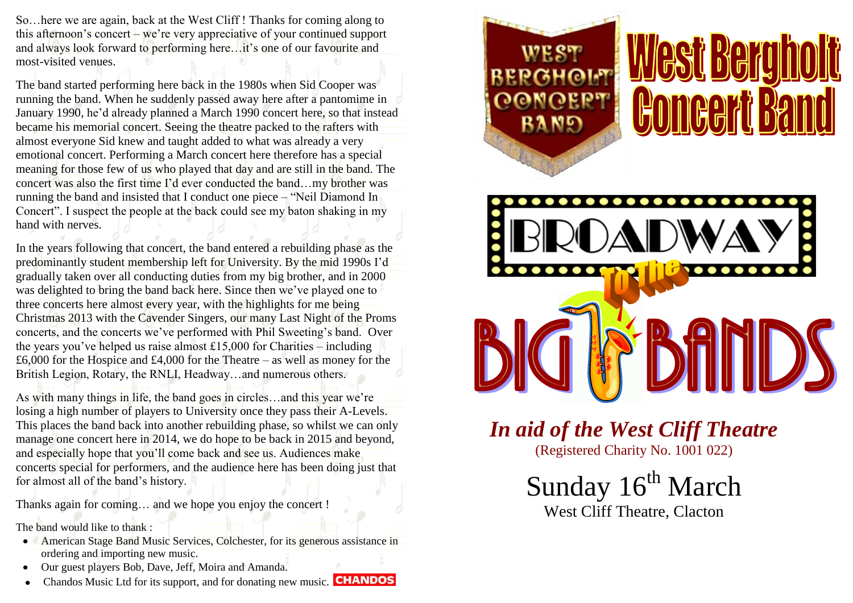So…here we are again, back at the West Cliff ! Thanks for coming along to this afternoon's concert – we're very appreciative of your continued support and always look forward to performing here…it's one of our favourite and most-visited venues.

The band started performing here back in the 1980s when Sid Cooper was running the band. When he suddenly passed away here after a pantomime in January 1990, he'd already planned a March 1990 concert here, so that instead became his memorial concert. Seeing the theatre packed to the rafters with almost everyone Sid knew and taught added to what was already a very emotional concert. Performing a March concert here therefore has a special meaning for those few of us who played that day and are still in the band. The concert was also the first time I'd ever conducted the band…my brother was running the band and insisted that I conduct one piece – "Neil Diamond In Concert". I suspect the people at the back could see my baton shaking in my hand with nerves.

In the years following that concert, the band entered a rebuilding phase as the predominantly student membership left for University. By the mid 1990s I'd gradually taken over all conducting duties from my big brother, and in 2000 was delighted to bring the band back here. Since then we've played one to three concerts here almost every year, with the highlights for me being Christmas 2013 with the Cavender Singers, our many Last Night of the Proms concerts, and the concerts we've performed with Phil Sweeting's band. Over the years you've helped us raise almost £15,000 for Charities – including £6,000 for the Hospice and £4,000 for the Theatre – as well as money for the British Legion, Rotary, the RNLI, Headway…and numerous others.

As with many things in life, the band goes in circles…and this year we're losing a high number of players to University once they pass their A-Levels. This places the band back into another rebuilding phase, so whilst we can only manage one concert here in 2014, we do hope to be back in 2015 and beyond, and especially hope that you'll come back and see us. Audiences make concerts special for performers, and the audience here has been doing just that for almost all of the band's history.

Thanks again for coming… and we hope you enjoy the concert !

The band would like to thank :

- American Stage Band Music Services, Colchester, for its generous assistance in ordering and importing new music.
- Our guest players Bob, Dave, Jeff, Moira and Amanda.
- Chandos Music Ltd for its support, and for donating new music. **CHANDOS**



# **omeert!**



*In aid of the West Cliff Theatre* (Registered Charity No. 1001 022)

Sunday 16<sup>th</sup> March

West Cliff Theatre, Clacton